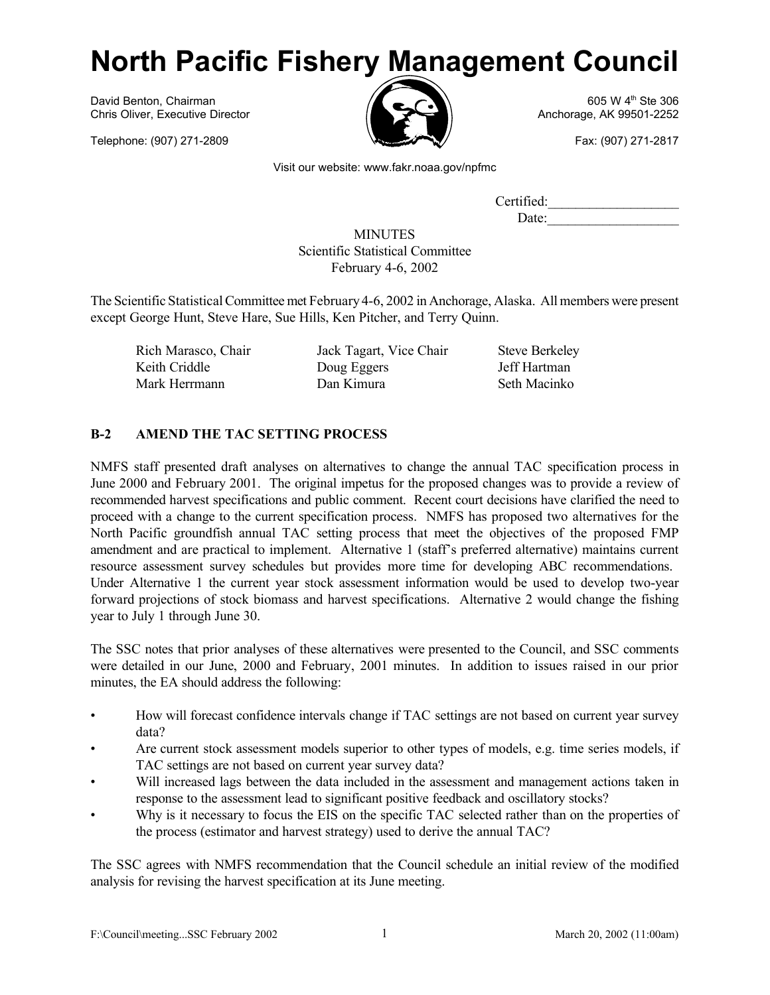# **North Pacific Fishery Management Council**

David Benton, Chairman **605 W** 4<sup>th</sup> Ste 306 Chris Oliver, Executive Director Anchorage, AK 99501-2252

Telephone: (907) 271-2809 **Fax: (907) 271-2817** 



Visit our website: www.fakr.noaa.gov/npfmc

Certified: Date:

MINUTES Scientific Statistical Committee February 4-6, 2002

The Scientific StatisticalCommittee met February 4-6, 2002 in Anchorage, Alaska. All members were present except George Hunt, Steve Hare, Sue Hills, Ken Pitcher, and Terry Quinn.

Rich Marasco, Chair Jack Tagart, Vice Chair Steve Berkeley Keith Criddle **Doug Eggers** Jeff Hartman Mark Herrmann Dan Kimura Seth Macinko

## **B-2 AMEND THE TAC SETTING PROCESS**

NMFS staff presented draft analyses on alternatives to change the annual TAC specification process in June 2000 and February 2001. The original impetus for the proposed changes was to provide a review of recommended harvest specifications and public comment. Recent court decisions have clarified the need to proceed with a change to the current specification process. NMFS has proposed two alternatives for the North Pacific groundfish annual TAC setting process that meet the objectives of the proposed FMP amendment and are practical to implement. Alternative 1 (staff's preferred alternative) maintains current resource assessment survey schedules but provides more time for developing ABC recommendations. Under Alternative 1 the current year stock assessment information would be used to develop two-year forward projections of stock biomass and harvest specifications. Alternative 2 would change the fishing year to July 1 through June 30.

The SSC notes that prior analyses of these alternatives were presented to the Council, and SSC comments were detailed in our June, 2000 and February, 2001 minutes. In addition to issues raised in our prior minutes, the EA should address the following:

- How will forecast confidence intervals change if TAC settings are not based on current year survey data?
- Are current stock assessment models superior to other types of models, e.g. time series models, if TAC settings are not based on current year survey data?
- Will increased lags between the data included in the assessment and management actions taken in response to the assessment lead to significant positive feedback and oscillatory stocks?
- Why is it necessary to focus the EIS on the specific TAC selected rather than on the properties of the process (estimator and harvest strategy) used to derive the annual TAC?

The SSC agrees with NMFS recommendation that the Council schedule an initial review of the modified analysis for revising the harvest specification at its June meeting.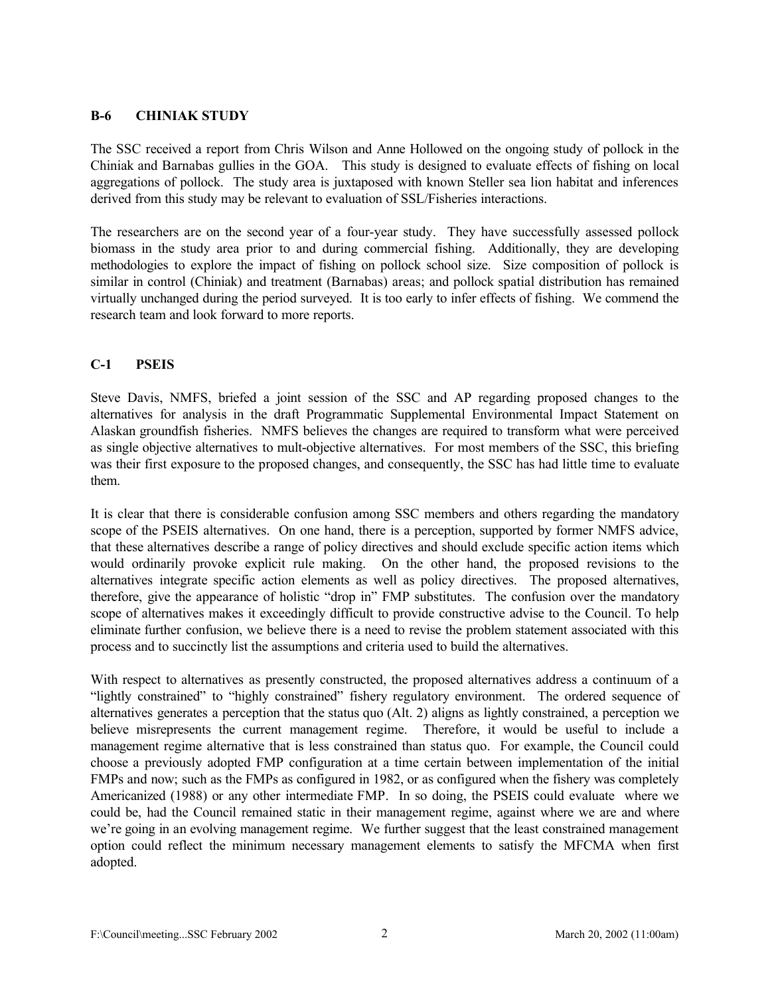## **B-6 CHINIAK STUDY**

The SSC received a report from Chris Wilson and Anne Hollowed on the ongoing study of pollock in the Chiniak and Barnabas gullies in the GOA. This study is designed to evaluate effects of fishing on local aggregations of pollock. The study area is juxtaposed with known Steller sea lion habitat and inferences derived from this study may be relevant to evaluation of SSL/Fisheries interactions.

The researchers are on the second year of a four-year study. They have successfully assessed pollock biomass in the study area prior to and during commercial fishing. Additionally, they are developing methodologies to explore the impact of fishing on pollock school size. Size composition of pollock is similar in control (Chiniak) and treatment (Barnabas) areas; and pollock spatial distribution has remained virtually unchanged during the period surveyed. It is too early to infer effects of fishing. We commend the research team and look forward to more reports.

## **C-1 PSEIS**

Steve Davis, NMFS, briefed a joint session of the SSC and AP regarding proposed changes to the alternatives for analysis in the draft Programmatic Supplemental Environmental Impact Statement on Alaskan groundfish fisheries. NMFS believes the changes are required to transform what were perceived as single objective alternatives to mult-objective alternatives. For most members of the SSC, this briefing was their first exposure to the proposed changes, and consequently, the SSC has had little time to evaluate them.

It is clear that there is considerable confusion among SSC members and others regarding the mandatory scope of the PSEIS alternatives. On one hand, there is a perception, supported by former NMFS advice, that these alternatives describe a range of policy directives and should exclude specific action items which would ordinarily provoke explicit rule making. On the other hand, the proposed revisions to the alternatives integrate specific action elements as well as policy directives. The proposed alternatives, therefore, give the appearance of holistic "drop in" FMP substitutes. The confusion over the mandatory scope of alternatives makes it exceedingly difficult to provide constructive advise to the Council. To help eliminate further confusion, we believe there is a need to revise the problem statement associated with this process and to succinctly list the assumptions and criteria used to build the alternatives.

With respect to alternatives as presently constructed, the proposed alternatives address a continuum of a "lightly constrained" to "highly constrained" fishery regulatory environment. The ordered sequence of alternatives generates a perception that the status quo (Alt. 2) aligns as lightly constrained, a perception we believe misrepresents the current management regime. Therefore, it would be useful to include a management regime alternative that is less constrained than status quo. For example, the Council could choose a previously adopted FMP configuration at a time certain between implementation of the initial FMPs and now; such as the FMPs as configured in 1982, or as configured when the fishery was completely Americanized (1988) or any other intermediate FMP. In so doing, the PSEIS could evaluate where we could be, had the Council remained static in their management regime, against where we are and where we're going in an evolving management regime. We further suggest that the least constrained management option could reflect the minimum necessary management elements to satisfy the MFCMA when first adopted.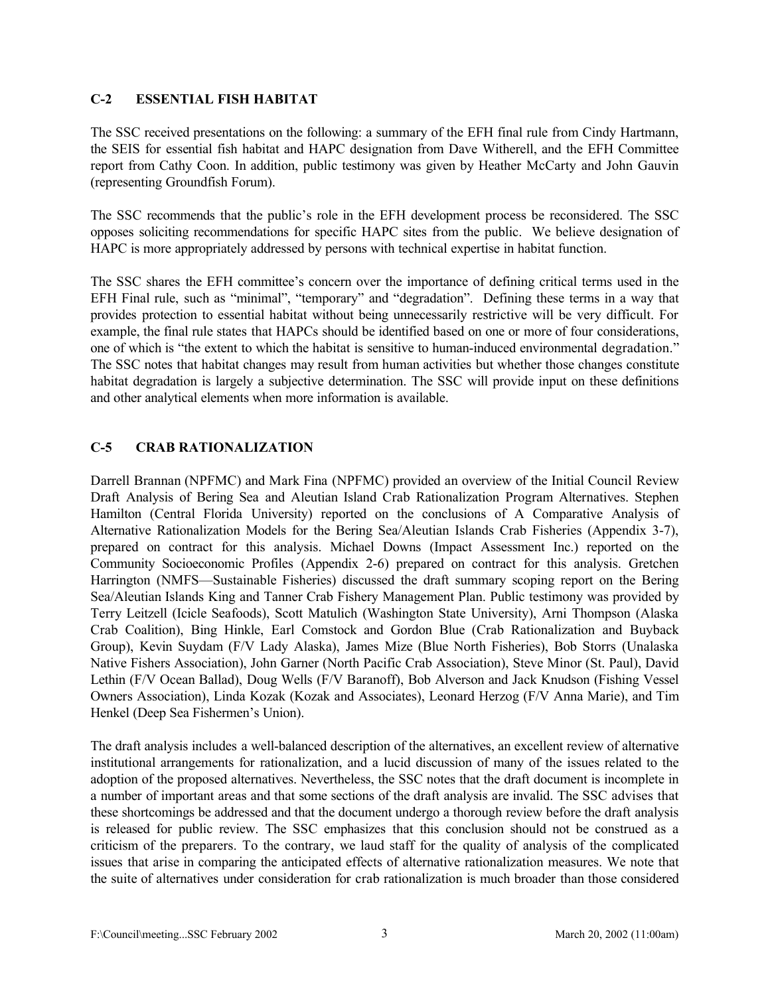## **C-2 ESSENTIAL FISH HABITAT**

The SSC received presentations on the following: a summary of the EFH final rule from Cindy Hartmann, the SEIS for essential fish habitat and HAPC designation from Dave Witherell, and the EFH Committee report from Cathy Coon. In addition, public testimony was given by Heather McCarty and John Gauvin (representing Groundfish Forum).

The SSC recommends that the public's role in the EFH development process be reconsidered. The SSC opposes soliciting recommendations for specific HAPC sites from the public. We believe designation of HAPC is more appropriately addressed by persons with technical expertise in habitat function.

The SSC shares the EFH committee's concern over the importance of defining critical terms used in the EFH Final rule, such as "minimal", "temporary" and "degradation". Defining these terms in a way that provides protection to essential habitat without being unnecessarily restrictive will be very difficult. For example, the final rule states that HAPCs should be identified based on one or more of four considerations, one of which is "the extent to which the habitat is sensitive to human-induced environmental degradation." The SSC notes that habitat changes may result from human activities but whether those changes constitute habitat degradation is largely a subjective determination. The SSC will provide input on these definitions and other analytical elements when more information is available.

# **C-5 CRAB RATIONALIZATION**

Darrell Brannan (NPFMC) and Mark Fina (NPFMC) provided an overview of the Initial Council Review Draft Analysis of Bering Sea and Aleutian Island Crab Rationalization Program Alternatives. Stephen Hamilton (Central Florida University) reported on the conclusions of A Comparative Analysis of Alternative Rationalization Models for the Bering Sea/Aleutian Islands Crab Fisheries (Appendix 3-7), prepared on contract for this analysis. Michael Downs (Impact Assessment Inc.) reported on the Community Socioeconomic Profiles (Appendix 2-6) prepared on contract for this analysis. Gretchen Harrington (NMFS—Sustainable Fisheries) discussed the draft summary scoping report on the Bering Sea/Aleutian Islands King and Tanner Crab Fishery Management Plan. Public testimony was provided by Terry Leitzell (Icicle Seafoods), Scott Matulich (Washington State University), Arni Thompson (Alaska Crab Coalition), Bing Hinkle, Earl Comstock and Gordon Blue (Crab Rationalization and Buyback Group), Kevin Suydam (F/V Lady Alaska), James Mize (Blue North Fisheries), Bob Storrs (Unalaska Native Fishers Association), John Garner (North Pacific Crab Association), Steve Minor (St. Paul), David Lethin (F/V Ocean Ballad), Doug Wells (F/V Baranoff), Bob Alverson and Jack Knudson (Fishing Vessel Owners Association), Linda Kozak (Kozak and Associates), Leonard Herzog (F/V Anna Marie), and Tim Henkel (Deep Sea Fishermen's Union).

The draft analysis includes a well-balanced description of the alternatives, an excellent review of alternative institutional arrangements for rationalization, and a lucid discussion of many of the issues related to the adoption of the proposed alternatives. Nevertheless, the SSC notes that the draft document is incomplete in a number of important areas and that some sections of the draft analysis are invalid. The SSC advises that these shortcomings be addressed and that the document undergo a thorough review before the draft analysis is released for public review. The SSC emphasizes that this conclusion should not be construed as a criticism of the preparers. To the contrary, we laud staff for the quality of analysis of the complicated issues that arise in comparing the anticipated effects of alternative rationalization measures. We note that the suite of alternatives under consideration for crab rationalization is much broader than those considered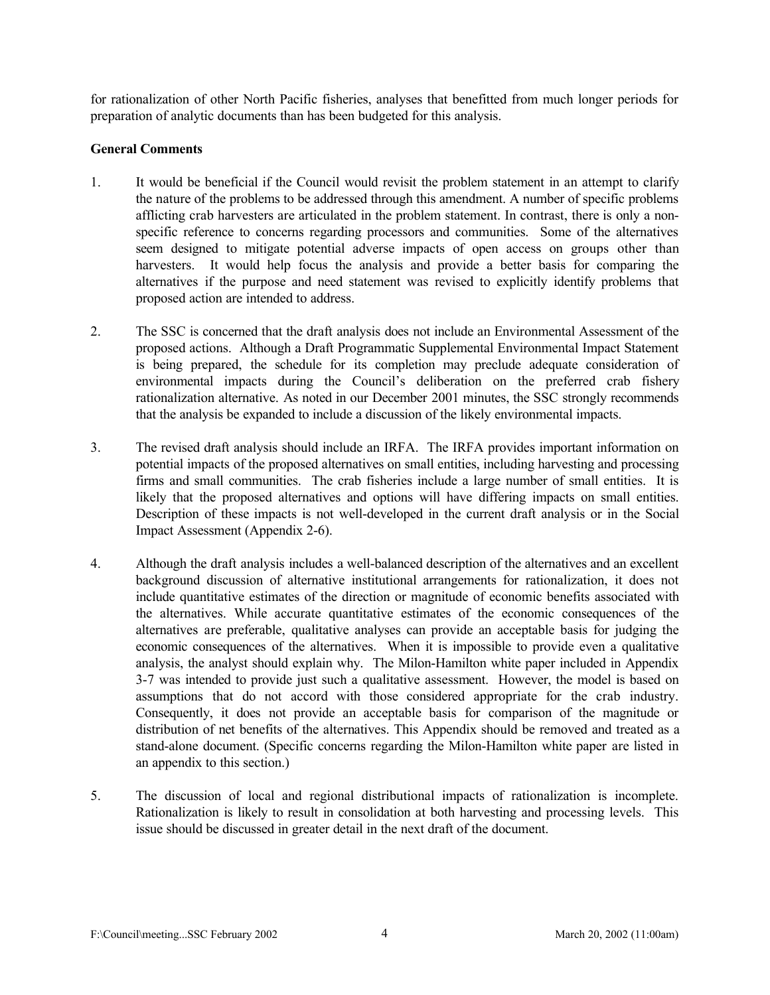for rationalization of other North Pacific fisheries, analyses that benefitted from much longer periods for preparation of analytic documents than has been budgeted for this analysis.

## **General Comments**

- 1. It would be beneficial if the Council would revisit the problem statement in an attempt to clarify the nature of the problems to be addressed through this amendment. A number of specific problems afflicting crab harvesters are articulated in the problem statement. In contrast, there is only a nonspecific reference to concerns regarding processors and communities. Some of the alternatives seem designed to mitigate potential adverse impacts of open access on groups other than harvesters. It would help focus the analysis and provide a better basis for comparing the alternatives if the purpose and need statement was revised to explicitly identify problems that proposed action are intended to address.
- 2. The SSC is concerned that the draft analysis does not include an Environmental Assessment of the proposed actions. Although a Draft Programmatic Supplemental Environmental Impact Statement is being prepared, the schedule for its completion may preclude adequate consideration of environmental impacts during the Council's deliberation on the preferred crab fishery rationalization alternative. As noted in our December 2001 minutes, the SSC strongly recommends that the analysis be expanded to include a discussion of the likely environmental impacts.
- 3. The revised draft analysis should include an IRFA. The IRFA provides important information on potential impacts of the proposed alternatives on small entities, including harvesting and processing firms and small communities. The crab fisheries include a large number of small entities. It is likely that the proposed alternatives and options will have differing impacts on small entities. Description of these impacts is not well-developed in the current draft analysis or in the Social Impact Assessment (Appendix 2-6).
- 4. Although the draft analysis includes a well-balanced description of the alternatives and an excellent background discussion of alternative institutional arrangements for rationalization, it does not include quantitative estimates of the direction or magnitude of economic benefits associated with the alternatives. While accurate quantitative estimates of the economic consequences of the alternatives are preferable, qualitative analyses can provide an acceptable basis for judging the economic consequences of the alternatives. When it is impossible to provide even a qualitative analysis, the analyst should explain why. The Milon-Hamilton white paper included in Appendix 3-7 was intended to provide just such a qualitative assessment. However, the model is based on assumptions that do not accord with those considered appropriate for the crab industry. Consequently, it does not provide an acceptable basis for comparison of the magnitude or distribution of net benefits of the alternatives. This Appendix should be removed and treated as a stand-alone document. (Specific concerns regarding the Milon-Hamilton white paper are listed in an appendix to this section.)
- 5. The discussion of local and regional distributional impacts of rationalization is incomplete. Rationalization is likely to result in consolidation at both harvesting and processing levels. This issue should be discussed in greater detail in the next draft of the document.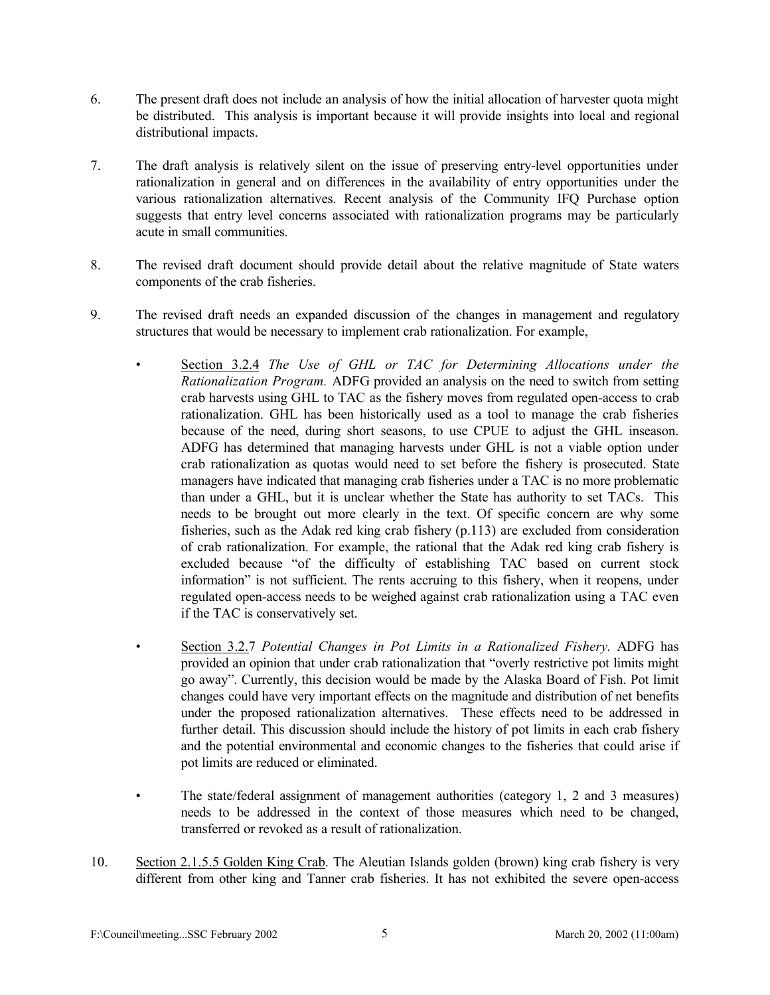- 6. The present draft does not include an analysis of how the initial allocation of harvester quota might be distributed. This analysis is important because it will provide insights into local and regional distributional impacts.
- 7. The draft analysis is relatively silent on the issue of preserving entry-level opportunities under rationalization in general and on differences in the availability of entry opportunities under the various rationalization alternatives. Recent analysis of the Community IFQ Purchase option suggests that entry level concerns associated with rationalization programs may be particularly acute in small communities.
- 8. The revised draft document should provide detail about the relative magnitude of State waters components of the crab fisheries.
- 9. The revised draft needs an expanded discussion of the changes in management and regulatory structures that would be necessary to implement crab rationalization. For example,
	- Section 3.2.4 *The Use of GHL or TAC for Determining Allocations under the Rationalization Program.* ADFG provided an analysis on the need to switch from setting crab harvests using GHL to TAC as the fishery moves from regulated open-access to crab rationalization. GHL has been historically used as a tool to manage the crab fisheries because of the need, during short seasons, to use CPUE to adjust the GHL inseason. ADFG has determined that managing harvests under GHL is not a viable option under crab rationalization as quotas would need to set before the fishery is prosecuted. State managers have indicated that managing crab fisheries under a TAC is no more problematic than under a GHL, but it is unclear whether the State has authority to set TACs. This needs to be brought out more clearly in the text. Of specific concern are why some fisheries, such as the Adak red king crab fishery (p.113) are excluded from consideration of crab rationalization. For example, the rational that the Adak red king crab fishery is excluded because "of the difficulty of establishing TAC based on current stock information" is not sufficient. The rents accruing to this fishery, when it reopens, under regulated open-access needs to be weighed against crab rationalization using a TAC even if the TAC is conservatively set.
	- Section 3.2.7 *Potential Changes in Pot Limits in a Rationalized Fishery.* ADFG has provided an opinion that under crab rationalization that "overly restrictive pot limits might go away". Currently, this decision would be made by the Alaska Board of Fish. Pot limit changes could have very important effects on the magnitude and distribution of net benefits under the proposed rationalization alternatives. These effects need to be addressed in further detail. This discussion should include the history of pot limits in each crab fishery and the potential environmental and economic changes to the fisheries that could arise if pot limits are reduced or eliminated.
	- The state/federal assignment of management authorities (category 1, 2 and 3 measures) needs to be addressed in the context of those measures which need to be changed, transferred or revoked as a result of rationalization.
- 10. Section 2.1.5.5 Golden King Crab. The Aleutian Islands golden (brown) king crab fishery is very different from other king and Tanner crab fisheries. It has not exhibited the severe open-access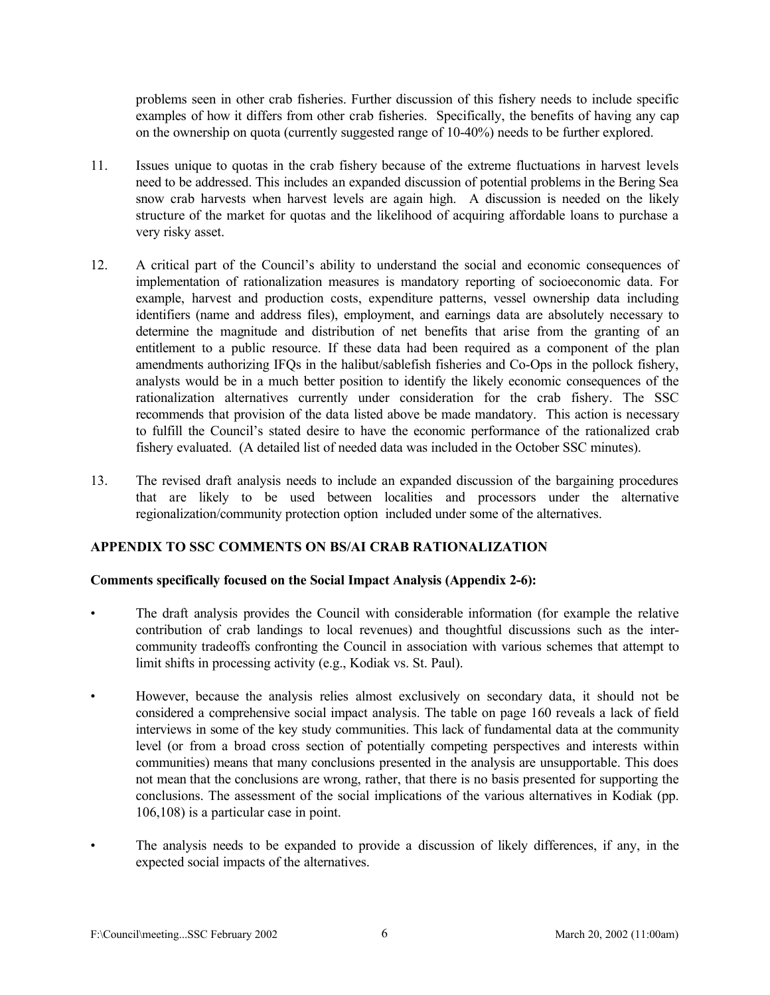problems seen in other crab fisheries. Further discussion of this fishery needs to include specific examples of how it differs from other crab fisheries. Specifically, the benefits of having any cap on the ownership on quota (currently suggested range of 10-40%) needs to be further explored.

- 11. Issues unique to quotas in the crab fishery because of the extreme fluctuations in harvest levels need to be addressed. This includes an expanded discussion of potential problems in the Bering Sea snow crab harvests when harvest levels are again high. A discussion is needed on the likely structure of the market for quotas and the likelihood of acquiring affordable loans to purchase a very risky asset.
- 12. A critical part of the Council's ability to understand the social and economic consequences of implementation of rationalization measures is mandatory reporting of socioeconomic data. For example, harvest and production costs, expenditure patterns, vessel ownership data including identifiers (name and address files), employment, and earnings data are absolutely necessary to determine the magnitude and distribution of net benefits that arise from the granting of an entitlement to a public resource. If these data had been required as a component of the plan amendments authorizing IFQs in the halibut/sablefish fisheries and Co-Ops in the pollock fishery, analysts would be in a much better position to identify the likely economic consequences of the rationalization alternatives currently under consideration for the crab fishery. The SSC recommends that provision of the data listed above be made mandatory. This action is necessary to fulfill the Council's stated desire to have the economic performance of the rationalized crab fishery evaluated. (A detailed list of needed data was included in the October SSC minutes).
- 13. The revised draft analysis needs to include an expanded discussion of the bargaining procedures that are likely to be used between localities and processors under the alternative regionalization/community protection option included under some of the alternatives.

#### **APPENDIX TO SSC COMMENTS ON BS/AI CRAB RATIONALIZATION**

#### **Comments specifically focused on the Social Impact Analysis (Appendix 2-6):**

- The draft analysis provides the Council with considerable information (for example the relative contribution of crab landings to local revenues) and thoughtful discussions such as the intercommunity tradeoffs confronting the Council in association with various schemes that attempt to limit shifts in processing activity (e.g., Kodiak vs. St. Paul).
- However, because the analysis relies almost exclusively on secondary data, it should not be considered a comprehensive social impact analysis. The table on page 160 reveals a lack of field interviews in some of the key study communities. This lack of fundamental data at the community level (or from a broad cross section of potentially competing perspectives and interests within communities) means that many conclusions presented in the analysis are unsupportable. This does not mean that the conclusions are wrong, rather, that there is no basis presented for supporting the conclusions. The assessment of the social implications of the various alternatives in Kodiak (pp. 106,108) is a particular case in point.
- The analysis needs to be expanded to provide a discussion of likely differences, if any, in the expected social impacts of the alternatives.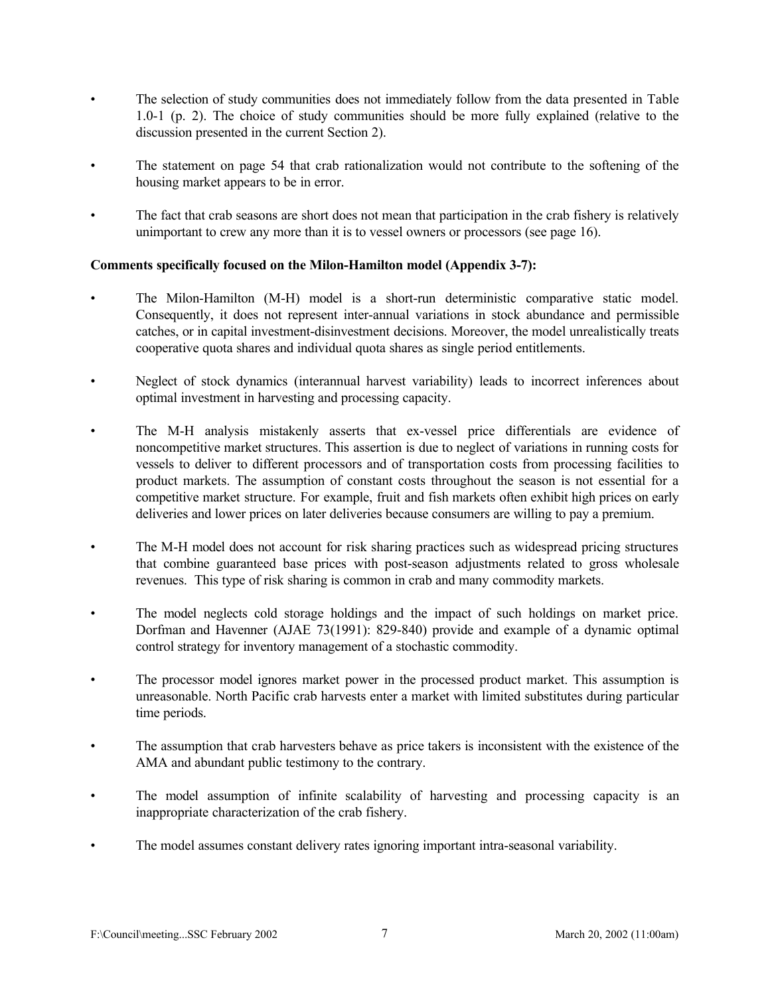- The selection of study communities does not immediately follow from the data presented in Table 1.0-1 (p. 2). The choice of study communities should be more fully explained (relative to the discussion presented in the current Section 2).
- The statement on page 54 that crab rationalization would not contribute to the softening of the housing market appears to be in error.
- The fact that crab seasons are short does not mean that participation in the crab fishery is relatively unimportant to crew any more than it is to vessel owners or processors (see page 16).

## **Comments specifically focused on the Milon-Hamilton model (Appendix 3-7):**

- The Milon-Hamilton (M-H) model is a short-run deterministic comparative static model. Consequently, it does not represent inter-annual variations in stock abundance and permissible catches, or in capital investment-disinvestment decisions. Moreover, the model unrealistically treats cooperative quota shares and individual quota shares as single period entitlements.
- Neglect of stock dynamics (interannual harvest variability) leads to incorrect inferences about optimal investment in harvesting and processing capacity.
- The M-H analysis mistakenly asserts that ex-vessel price differentials are evidence of noncompetitive market structures. This assertion is due to neglect of variations in running costs for vessels to deliver to different processors and of transportation costs from processing facilities to product markets. The assumption of constant costs throughout the season is not essential for a competitive market structure. For example, fruit and fish markets often exhibit high prices on early deliveries and lower prices on later deliveries because consumers are willing to pay a premium.
- The M-H model does not account for risk sharing practices such as widespread pricing structures that combine guaranteed base prices with post-season adjustments related to gross wholesale revenues. This type of risk sharing is common in crab and many commodity markets.
- The model neglects cold storage holdings and the impact of such holdings on market price. Dorfman and Havenner (AJAE 73(1991): 829-840) provide and example of a dynamic optimal control strategy for inventory management of a stochastic commodity.
- The processor model ignores market power in the processed product market. This assumption is unreasonable. North Pacific crab harvests enter a market with limited substitutes during particular time periods.
- The assumption that crab harvesters behave as price takers is inconsistent with the existence of the AMA and abundant public testimony to the contrary.
- The model assumption of infinite scalability of harvesting and processing capacity is an inappropriate characterization of the crab fishery.
- The model assumes constant delivery rates ignoring important intra-seasonal variability.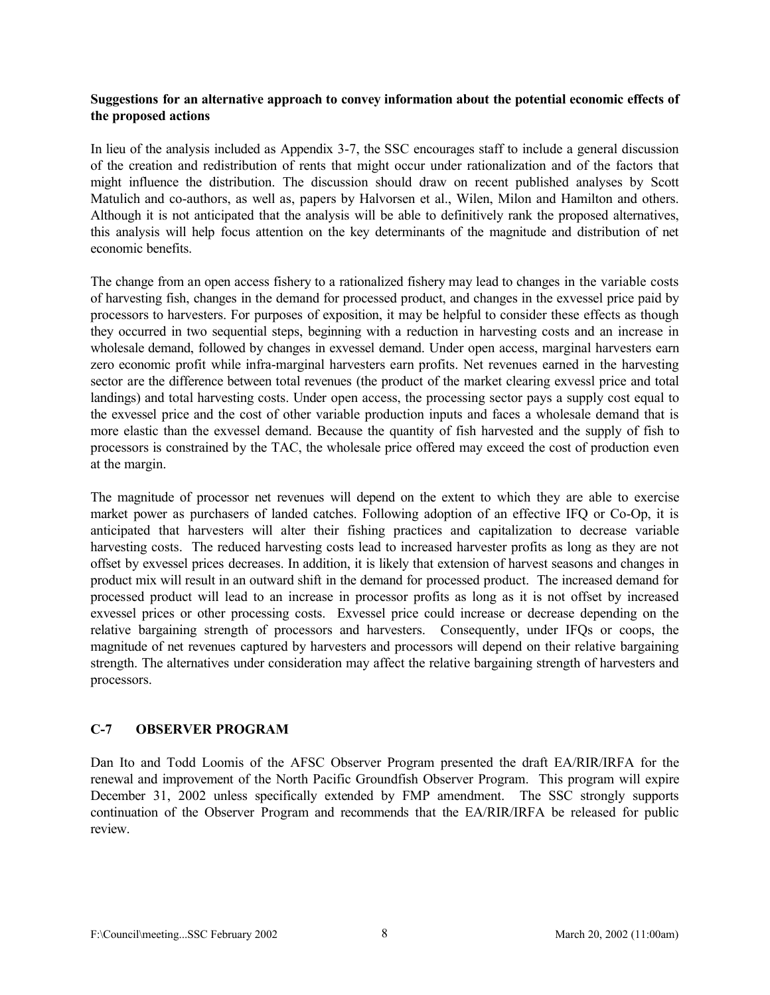## **Suggestions for an alternative approach to convey information about the potential economic effects of the proposed actions**

In lieu of the analysis included as Appendix 3-7, the SSC encourages staff to include a general discussion of the creation and redistribution of rents that might occur under rationalization and of the factors that might influence the distribution. The discussion should draw on recent published analyses by Scott Matulich and co-authors, as well as, papers by Halvorsen et al., Wilen, Milon and Hamilton and others. Although it is not anticipated that the analysis will be able to definitively rank the proposed alternatives, this analysis will help focus attention on the key determinants of the magnitude and distribution of net economic benefits.

The change from an open access fishery to a rationalized fishery may lead to changes in the variable costs of harvesting fish, changes in the demand for processed product, and changes in the exvessel price paid by processors to harvesters. For purposes of exposition, it may be helpful to consider these effects as though they occurred in two sequential steps, beginning with a reduction in harvesting costs and an increase in wholesale demand, followed by changes in exvessel demand. Under open access, marginal harvesters earn zero economic profit while infra-marginal harvesters earn profits. Net revenues earned in the harvesting sector are the difference between total revenues (the product of the market clearing exvessl price and total landings) and total harvesting costs. Under open access, the processing sector pays a supply cost equal to the exvessel price and the cost of other variable production inputs and faces a wholesale demand that is more elastic than the exvessel demand. Because the quantity of fish harvested and the supply of fish to processors is constrained by the TAC, the wholesale price offered may exceed the cost of production even at the margin.

The magnitude of processor net revenues will depend on the extent to which they are able to exercise market power as purchasers of landed catches. Following adoption of an effective IFQ or Co-Op, it is anticipated that harvesters will alter their fishing practices and capitalization to decrease variable harvesting costs. The reduced harvesting costs lead to increased harvester profits as long as they are not offset by exvessel prices decreases. In addition, it is likely that extension of harvest seasons and changes in product mix will result in an outward shift in the demand for processed product. The increased demand for processed product will lead to an increase in processor profits as long as it is not offset by increased exvessel prices or other processing costs. Exvessel price could increase or decrease depending on the relative bargaining strength of processors and harvesters. Consequently, under IFQs or coops, the magnitude of net revenues captured by harvesters and processors will depend on their relative bargaining strength. The alternatives under consideration may affect the relative bargaining strength of harvesters and processors.

# **C-7 OBSERVER PROGRAM**

Dan Ito and Todd Loomis of the AFSC Observer Program presented the draft EA/RIR/IRFA for the renewal and improvement of the North Pacific Groundfish Observer Program. This program will expire December 31, 2002 unless specifically extended by FMP amendment. The SSC strongly supports continuation of the Observer Program and recommends that the EA/RIR/IRFA be released for public review.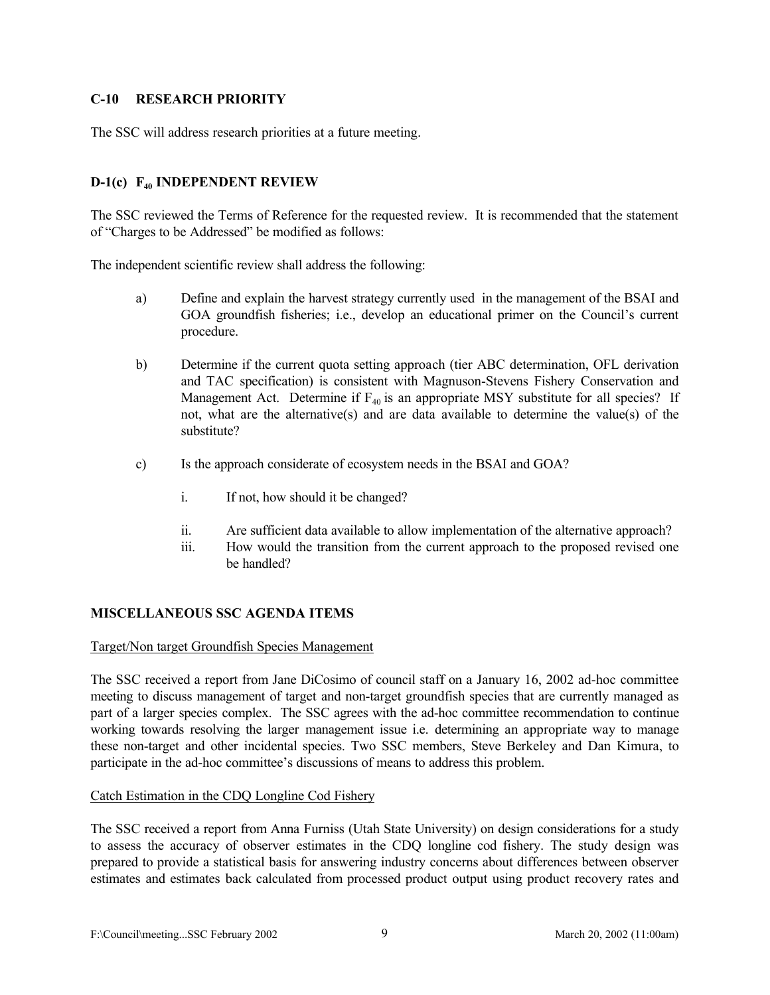## **C-10 RESEARCH PRIORITY**

The SSC will address research priorities at a future meeting.

## **D-1(c) F40 INDEPENDENT REVIEW**

The SSC reviewed the Terms of Reference for the requested review. It is recommended that the statement of "Charges to be Addressed" be modified as follows:

The independent scientific review shall address the following:

- a) Define and explain the harvest strategy currently used in the management of the BSAI and GOA groundfish fisheries; i.e., develop an educational primer on the Council's current procedure.
- b) Determine if the current quota setting approach (tier ABC determination, OFL derivation and TAC specification) is consistent with Magnuson-Stevens Fishery Conservation and Management Act. Determine if  $F_{40}$  is an appropriate MSY substitute for all species? If not, what are the alternative(s) and are data available to determine the value(s) of the substitute?
- c) Is the approach considerate of ecosystem needs in the BSAI and GOA?
	- i. If not, how should it be changed?
	- ii. Are sufficient data available to allow implementation of the alternative approach?
	- iii. How would the transition from the current approach to the proposed revised one be handled?

#### **MISCELLANEOUS SSC AGENDA ITEMS**

#### Target/Non target Groundfish Species Management

The SSC received a report from Jane DiCosimo of council staff on a January 16, 2002 ad-hoc committee meeting to discuss management of target and non-target groundfish species that are currently managed as part of a larger species complex. The SSC agrees with the ad-hoc committee recommendation to continue working towards resolving the larger management issue i.e. determining an appropriate way to manage these non-target and other incidental species. Two SSC members, Steve Berkeley and Dan Kimura, to participate in the ad-hoc committee's discussions of means to address this problem.

#### Catch Estimation in the CDQ Longline Cod Fishery

The SSC received a report from Anna Furniss (Utah State University) on design considerations for a study to assess the accuracy of observer estimates in the CDQ longline cod fishery. The study design was prepared to provide a statistical basis for answering industry concerns about differences between observer estimates and estimates back calculated from processed product output using product recovery rates and